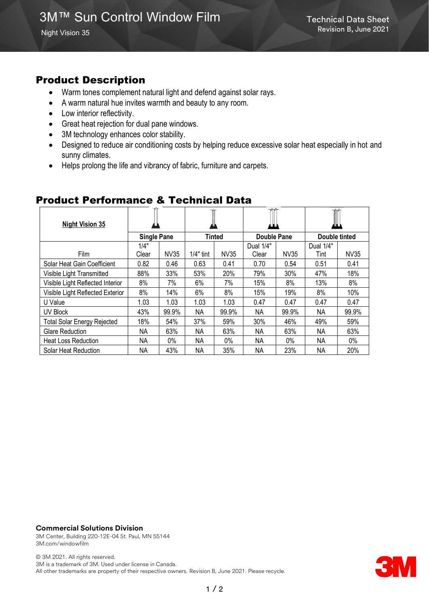# Product Description

- Warm tones complement natural light and defend against solar rays.
- A warm natural hue invites warmth and beauty to any room.
- Low interior reflectivity.
- Great heat rejection for dual pane windows.
- 3M technology enhances color stability.
- Designed to reduce air conditioning costs by helping reduce excessive solar heat especially in hot and sunny climates.
- Helps prolong the life and vibrancy of fabric, furniture and carpets.

| <b>Night Vision 35</b>             |                    |       |             |             |                    |       | I                 |       |
|------------------------------------|--------------------|-------|-------------|-------------|--------------------|-------|-------------------|-------|
|                                    | <b>Single Pane</b> |       | Tinted      |             | Double Pane        |       | Double tinted     |       |
| Film                               | 1/4"<br>Clear      | NV35  | $1/4"$ tint | <b>NV35</b> | Dual 1/4"<br>Clear | NV35  | Dual 1/4"<br>Tint | NV35  |
| Solar Heat Gain Coefficient        | 0.82               | 0.46  | 0.63        | 0.41        | 0.70               | 0.54  | 0.51              | 0.41  |
| Visible Light Transmitted          | 88%                | 33%   | 53%         | 20%         | 79%                | 30%   | 47%               | 18%   |
| Visible Light Reflected Interior   | 8%                 | 7%    | 6%          | 7%          | 15%                | 8%    | 13%               | 8%    |
| Visible Light Reflected Exterior   | 8%                 | 14%   | 6%          | 8%          | 15%                | 19%   | 8%                | 10%   |
| U Value                            | 1.03               | 1.03  | 1.03        | 1.03        | 0.47               | 0.47  | 0.47              | 0.47  |
| UV Block                           | 43%                | 99.9% | NΑ          | 99.9%       | ΝA                 | 99.9% | ΝA                | 99.9% |
| <b>Total Solar Energy Rejected</b> | 18%                | 54%   | 37%         | 59%         | 30%                | 46%   | 49%               | 59%   |
| <b>Glare Reduction</b>             | ΝA                 | 63%   | NΑ          | 63%         | NA.                | 63%   | ΝA                | 63%   |
| <b>Heat Loss Reduction</b>         | ΝA                 | 0%    | NA.         | $0\%$       | ΝA                 | $0\%$ | ΝA                | 0%    |
| Solar Heat Reduction               | ΝA                 | 43%   | ΝA          | 35%         | ΝA                 | 23%   | ΝA                | 20%   |

## Product Performance & Technical Data

#### **Commercial Solutions Division**

3M Center, Building 220-12E-04 St. Paul, MN 55144 3M.com/windowfilm

© 3M 2021. All rights reserved. 3M is a trademark of 3M. Used under license in Canada. All other trademarks are property of their respective owners. Revision B, June 2021. Please recycle.